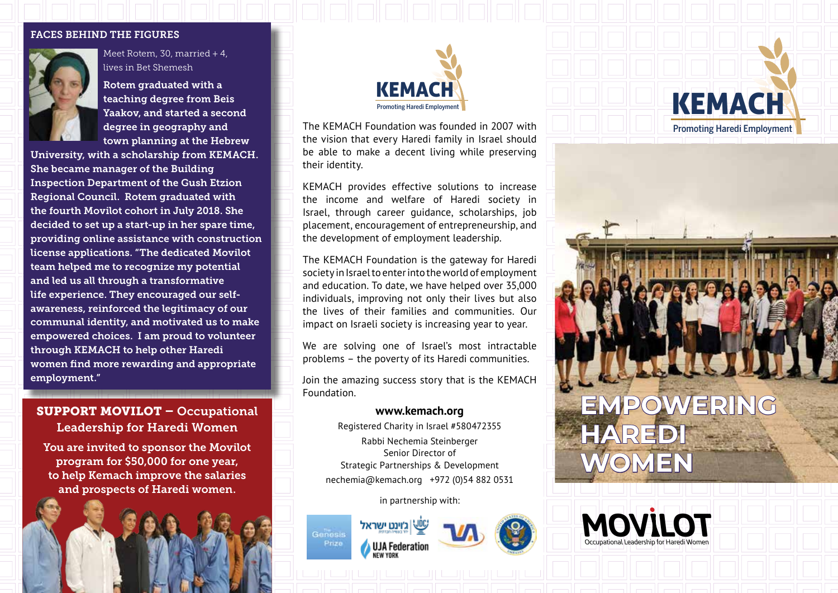#### FACES BEHIND THE FIGURES



Meet Rotem, 30, married + 4, lives in Bet Shemesh

Rotem graduated with a teaching degree from Beis Yaakov, and started a second degree in geography and town planning at the Hebrew

University, with a scholarship from KEMACH. She became manager of the Building Inspection Department of the Gush Etzion Regional Council. Rotem graduated with the fourth Movilot cohort in July 2018. She decided to set up a start-up in her spare time, providing online assistance with construction license applications. "The dedicated Movilot team helped me to recognize my potential and led us all through a transformative life experience. They encouraged our selfawareness, reinforced the legitimacy of our communal identity, and motivated us to make empowered choices. I am proud to volunteer through KEMACH to help other Haredi women find more rewarding and appropriate employment."

## SUPPORT MOVILOT – Occupational Leadership for Haredi Women

You are invited to sponsor the Movilot program for \$50,000 for one year, to help Kemach improve the salaries and prospects of Haredi women.



The KEMACH Foundation was founded in 2007 with the vision that every Haredi family in Israel should be able to make a decent living while preserving their identity.

KEMACH provides effective solutions to increase the income and welfare of Haredi society in Israel, through career guidance, scholarships, job placement, encouragement of entrepreneurship, and the development of employment leadership.

The KEMACH Foundation is the gateway for Haredi society in Israel to enter into the world of employment and education. To date, we have helped over 35,000 individuals, improving not only their lives but also the lives of their families and communities. Our impact on Israeli society is increasing year to year.

We are solving one of Israel's most intractable problems – the poverty of its Haredi communities.

Join the amazing success story that is the KEMACH Foundation.

Registered Charity in Israel #580472355 Rabbi Nechemia Steinberger Senior Director of Strategic Partnerships & Development nechemia@kemach.org +972 (0)54 882 0531

in partnership with:



Genesis Prize